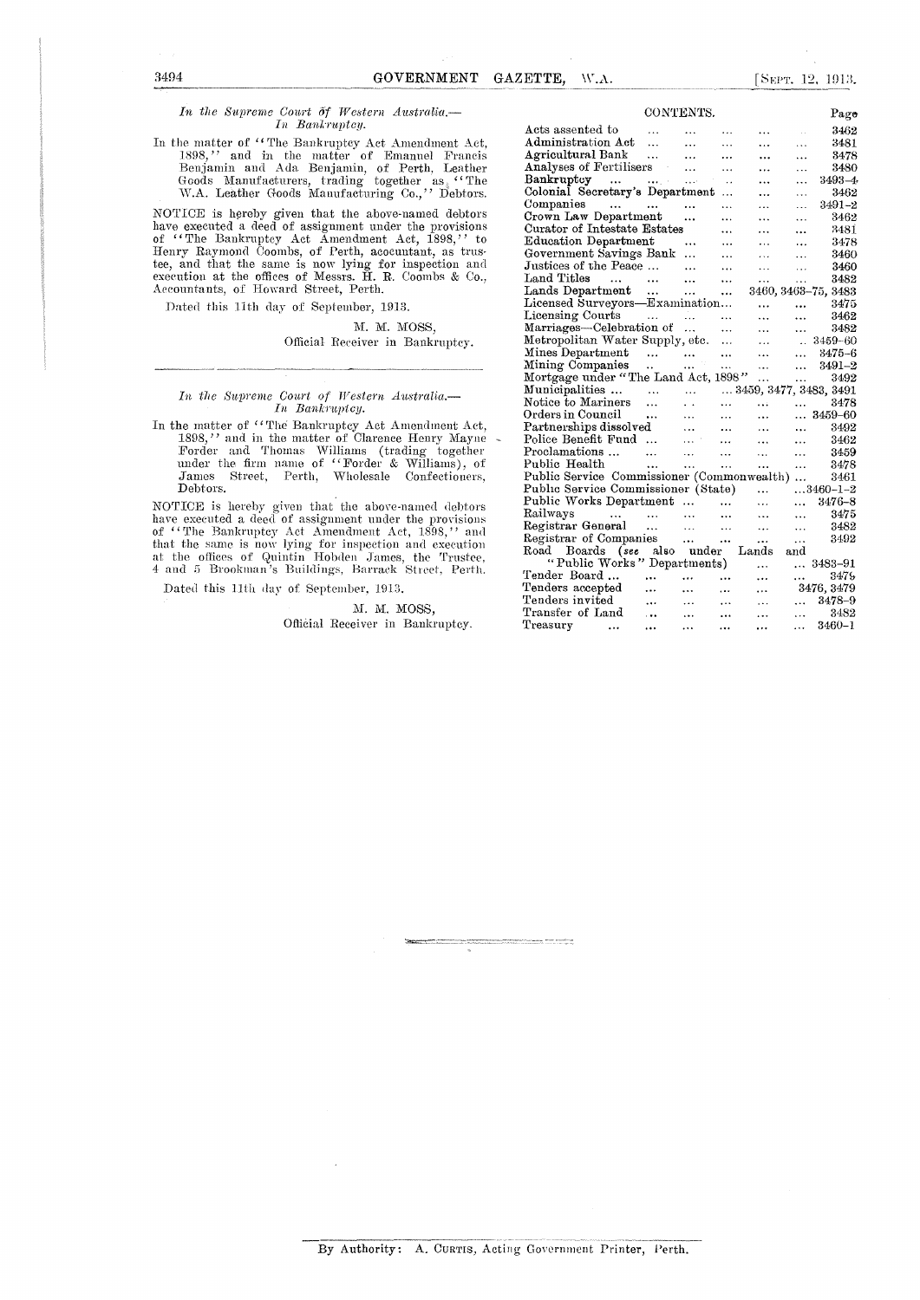#### *In the Supreme Court Of Western Australia.— In Bankruptcy.*

In the matter of "The Bankruptcy Act Amendment Act, 1898," and in the matter of Emanuel Francis Benjamin and Ada. Benjamin, of Perth, Leather Goods Manufacturers, trading together as "The W.A. Leather Goods Manufacturing Co.," Debtors.

NOTICE is hereby given that the above-named debtors have executed a deed of assignment under the provisions of "The Bankruptcy Act Amendment Act, 1898," to Henry Raymond Coombs, of Perth, acocuntant, as trus-tee, and that the same is now lying for inspection and execution at the offices of Messrs. H. R. Coombs & Co., Accountants, of Howard Street, Perth.

Dated this 11th day of September, 1913.

M. M. MOSS, Official Receiver in Bankruptcy.

## *In the Snprente Court of Western Australia.— In Bankruptcy.*

In the matter of "The Bankruptcy Act Amendment Act, 1898," and in the matter of Clarence Henry Mayne Forder and Thomas Williams (trading together under the firm name of "Eorder & Williams), of James Street, Perth, Wholesale Confectioners, Debtors.

NOTICE is hereby given that the above-named debtors have executed a deed of assignment under the provisions<br>of ''The Bankruptcy Act Amendment Act, 1898,'' and<br>that the same is now lying for inspection and execution<br>at the offices of Quintin Hobden James, the Trustee,<br>4 and

Dated this 11th day of September. 1913.

### M. M. MOSS, Official Receiver in Bankruptcy.

|                                                                                                 | CONTENTS.                                  |                               |           |           |               | Page                      |
|-------------------------------------------------------------------------------------------------|--------------------------------------------|-------------------------------|-----------|-----------|---------------|---------------------------|
| Acts assented to                                                                                | $\cdots$                                   | $\cdots$                      | .         |           | $\sim$ $\sim$ | 3462                      |
| Administration Act                                                                              | $\sim$ $\sim$                              | .                             | $\cdots$  |           | $\cdots$      | 3481                      |
| Agricultural Bank                                                                               |                                            | $\ddotsc$                     | .         |           | .             | 3478                      |
| Analyses of Fertilisers                                                                         |                                            | .                             | .         | .         | $\cdots$      | 3480                      |
| Bankruptcy<br>$\sim$ 1440 $\sim$ 1544 $\mu$ m $^{-1}$                                           |                                            | $\mathbf{v}$                  | $\ddots$  |           | .             | $3493 - 4$                |
| Colonial Secretary's Department                                                                 |                                            |                               | .         |           | .             | 3462                      |
| Companies                                                                                       |                                            | $\cdots$                      | .         | .         | .             | $3491 - 2$                |
| Crown Law Department                                                                            |                                            |                               |           | .         | $\ddotsc$     | 3462                      |
| Curator of Intestate Estates                                                                    |                                            |                               | $\ldots$  | .         |               | 3481                      |
| Education Department                                                                            |                                            |                               | .         | $\cdots$  | .             | 3478                      |
| Government Savings Bank                                                                         |                                            | .                             | .         | $\cdots$  | $\cdots$      | 3460                      |
| Justices of the Peace                                                                           |                                            | $\cdots$                      | $\ddotsc$ | $\ddotsc$ | $\cdots$      | 3460                      |
| Land Titles<br>$\sim$<br>$\sim$ 100 $\sim$ 100 $\sim$                                           |                                            |                               |           | .         | $\cdots$      | 3482                      |
| Lands Department<br>Licensed Surveyors—Examination                                              |                                            |                               |           |           |               | 3460, 3463-75, 3483       |
|                                                                                                 |                                            |                               |           |           | $\ddotsc$     | 3475                      |
| Licensing Courts                                                                                | and the company                            |                               | $\ddotsc$ | $\cdots$  |               | 3462                      |
| Marriages—Celebration of                                                                        |                                            |                               |           | $\ddotsc$ | $\ddotsc$     | 3482                      |
| Metropolitan Water Supply, etc.                                                                 |                                            |                               | $\ddotsc$ | .         | $\ddotsc$     | 3459-60                   |
| $\label{thm:univ} \text{Mines Department} \qquad \ldots$                                        |                                            |                               |           | $\ddotsc$ | $\ddotsc$     | $3475 - 6$                |
| Mining Companies                                                                                | $\mathcal{L}_{\mathcal{F}}$                | in i                          | .         | $\cdots$  | $\ddotsc$     | $3491 - 2$                |
| Mortgage under "The Land Act, 1898"                                                             |                                            |                               |           | $\cdots$  | $\ldots$      | 3492                      |
| Municipalities                                                                                  | $\sim 100$ km $^{-1}$                      | $\sim$ 100 $\pm$              |           |           |               | $$ 3459, 3477, 3483, 3491 |
| Notice to Mariners                                                                              | .                                          | $\ddot{\phantom{0}}$          | .         | $\ddotsc$ | $\cdots$      |                           |
| Orders in Council                                                                               | $\ddotsc$                                  | $\cdots$                      | .         | $\cdots$  |               | $ 3459 - 60$              |
| $\rm{Partnerships\, dissolved}$                                                                 |                                            | $\ddotsc$                     |           | $\ddotsc$ | $\ddotsc$     | 3492                      |
| Police Benefit Fund                                                                             |                                            | $\cdots$                      | $\cdots$  | $\ddotsc$ | $\cdots$      | 3462                      |
| Proclamations                                                                                   | $\cdots$                                   | $\ddotsc$                     | $\ddotsc$ | $\cdots$  | $\ddotsc$     | 3459                      |
| Public Health                                                                                   | $\ddotsc$                                  | $\ddotsc$                     |           | $\ddotsc$ | .             | -3478                     |
| Public Service Commissioner (Commonwealth)                                                      |                                            |                               |           |           |               | 3461                      |
| Public Service Commissioner (State)                                                             |                                            |                               |           | .         |               | $3460 - 1 - 2$            |
| Public Works Department                                                                         |                                            |                               | $\ddotsc$ | .         | $\ddotsc$     | 3476-8                    |
| Railways<br>$\mathcal{L}^{\text{max}}_{\text{max}}$ and $\mathcal{L}^{\text{max}}_{\text{max}}$ | $\mathbf{r}$ , $\mathbf{r}$ , $\mathbf{r}$ | $\ddotsc$                     | $\ddotsc$ | .         | $\ddotsc$     | 3475                      |
| Registrar General                                                                               |                                            | $\sim$                        | $\ddotsc$ | $\ddotsc$ | $\ddotsc$     | 3482                      |
| Registrar of Companies                                                                          |                                            | $\mathbf{1}$ and $\mathbf{1}$ |           |           | $\cdots$      | 3492                      |
| ${\bf Road}$<br>Boards (see also under                                                          |                                            |                               |           | Lands     | and           |                           |
| "Public Works" Departments)                                                                     |                                            |                               |           | $\cdots$  |               | 3483–91                   |
| Tender Board                                                                                    | $\ddotsc$ and                              |                               | $\cdots$  | .         | $\cdots$      | 3475                      |
| Tenders accepted                                                                                | $\cdots$                                   | $\cdots$                      | $\cdots$  | $\cdots$  |               | 3476, 3479                |
| Tenders invited                                                                                 | $\cdots$                                   | $\ddotsc$                     | $\cdots$  | $\cdots$  | isko l        | 3478-9                    |
| Transfer of Land                                                                                | $\ddotsc$                                  | $\cdots$                      | .         | $\cdots$  | $\cdots$      | 3482                      |
| Treasury<br>$\cdots$                                                                            |                                            | .                             |           | $\cdots$  | $\cdots$      | $3460 - 1$                |